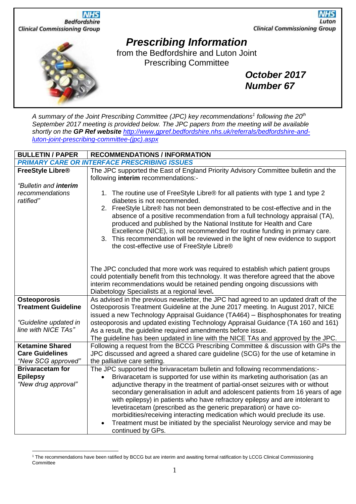

*A summary of the Joint Prescribing Committee (JPC) key recommendations<sup>1</sup> following the 20th September 2017 meeting is provided below. The JPC papers from the meeting will be available shortly on the GP Ref website [http://www.gpref.bedfordshire.nhs.uk/referrals/bedfordshire-and](http://www.gpref.bedfordshire.nhs.uk/referrals/bedfordshire-and-luton-joint-prescribing-committee-(jpc).aspx)[luton-joint-prescribing-committee-\(jpc\).aspx](http://www.gpref.bedfordshire.nhs.uk/referrals/bedfordshire-and-luton-joint-prescribing-committee-(jpc).aspx)*

| <b>BULLETIN / PAPER</b>      | <b>RECOMMENDATIONS / INFORMATION</b>                                                   |
|------------------------------|----------------------------------------------------------------------------------------|
|                              | <b>PRIMARY CARE OR INTERFACE PRESCRIBING ISSUES</b>                                    |
| FreeStyle Libre <sup>®</sup> | The JPC supported the East of England Priority Advisory Committee bulletin and the     |
|                              | following interim recommendations:-                                                    |
| "Bulletin and interim        |                                                                                        |
| recommendations              | 1. The routine use of FreeStyle Libre® for all patients with type 1 and type 2         |
| ratified"                    | diabetes is not recommended.                                                           |
|                              | 2. FreeStyle Libre® has not been demonstrated to be cost-effective and in the          |
|                              | absence of a positive recommendation from a full technology appraisal (TA),            |
|                              | produced and published by the National Institute for Health and Care                   |
|                              | Excellence (NICE), is not recommended for routine funding in primary care.             |
|                              | 3. This recommendation will be reviewed in the light of new evidence to support        |
|                              | the cost-effective use of FreeStyle Libre®                                             |
|                              |                                                                                        |
|                              |                                                                                        |
|                              | The JPC concluded that more work was required to establish which patient groups        |
|                              | could potentially benefit from this technology. It was therefore agreed that the above |
|                              | interim recommendations would be retained pending ongoing discussions with             |
|                              | Diabetology Specialists at a regional level.                                           |
| <b>Osteoporosis</b>          | As advised in the previous newsletter, the JPC had agreed to an updated draft of the   |
| <b>Treatment Guideline</b>   | Osteoporosis Treatment Guideline at the June 2017 meeting. In August 2017, NICE        |
|                              | issued a new Technology Appraisal Guidance (TA464) – Bisphosphonates for treating      |
| "Guideline updated in        | osteoporosis and updated existing Technology Appraisal Guidance (TA 160 and 161)       |
| line with NICE TAs"          | As a result, the guideline required amendments before issue.                           |
|                              | The guideline has been updated in line with the NICE TAs and approved by the JPC.      |
| <b>Ketamine Shared</b>       | Following a request from the BCCG Prescribing Committee & discussion with GPs the      |
| <b>Care Guidelines</b>       | JPC discussed and agreed a shared care guideline (SCG) for the use of ketamine in      |
| "New SCG approved"           | the palliative care setting.                                                           |
| <b>Brivaracetam for</b>      | The JPC supported the brivaracetam bulletin and following recommendations:-            |
| <b>Epilepsy</b>              | Brivaracetam is supported for use within its marketing authorisation (as an            |
| "New drug approval"          | adjunctive therapy in the treatment of partial-onset seizures with or without          |
|                              | secondary generalisation in adult and adolescent patients from 16 years of age         |
|                              | with epilepsy) in patients who have refractory epilepsy and are intolerant to          |
|                              | levetiracetam (prescribed as the generic preparation) or have co-                      |
|                              | morbidities/receiving interacting medication which would preclude its use.             |
|                              | Treatment must be initiated by the specialist Neurology service and may be             |
|                              | continued by GPs.                                                                      |

<sup>1</sup> The recommendations have been ratified by BCCG but are interim and awaiting formal ratification by LCCG Clinical Commissioning **Committee**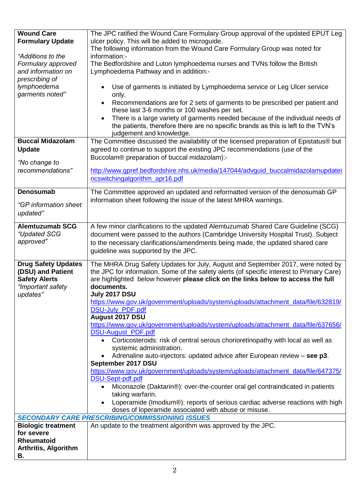| <b>Wound Care</b>                               | The JPC ratified the Wound Care Formulary Group approval of the updated EPUT Leg                                                                                             |
|-------------------------------------------------|------------------------------------------------------------------------------------------------------------------------------------------------------------------------------|
| <b>Formulary Update</b>                         | ulcer policy. This will be added to microguide.                                                                                                                              |
| "Additions to the                               | The following information from the Wound Care Formulary Group was noted for<br>information:-                                                                                 |
| Formulary approved                              | The Bedfordshire and Luton lymphoedema nurses and TVNs follow the British                                                                                                    |
| and information on                              | Lymphoedema Pathway and in addition:-                                                                                                                                        |
| prescribing of                                  |                                                                                                                                                                              |
| lymphoedema                                     | Use of garments is initiated by Lymphoedema service or Leg Ulcer service                                                                                                     |
| garments noted"                                 | only.                                                                                                                                                                        |
|                                                 | Recommendations are for 2 sets of garments to be prescribed per patient and                                                                                                  |
|                                                 | these last 3-6 months or 100 washes per set.                                                                                                                                 |
|                                                 | There is a large variety of garments needed because of the individual needs of<br>$\bullet$                                                                                  |
|                                                 | the patients, therefore there are no specific brands as this is left to the TVN's                                                                                            |
|                                                 | judgement and knowledge.                                                                                                                                                     |
| <b>Buccal Midazolam</b>                         | The Committee discussed the availability of the licensed preparation of Epistatus® but                                                                                       |
| <b>Update</b>                                   | agreed to continue to support the existing JPC recommendations (use of the                                                                                                   |
|                                                 | Buccolam® preparation of buccal midazolam):-                                                                                                                                 |
| "No change to                                   |                                                                                                                                                                              |
| recommendations"                                | http://www.gpref.bedfordshire.nhs.uk/media/147044/advquid buccalmidazolamupdatei                                                                                             |
|                                                 | ncswitchingalgorithm_apr16.pdf                                                                                                                                               |
| <b>Denosumab</b>                                | The Committee approved an updated and reformatted version of the denosumab GP                                                                                                |
|                                                 | information sheet following the issue of the latest MHRA warnings.                                                                                                           |
| "GP information sheet                           |                                                                                                                                                                              |
| updated"                                        |                                                                                                                                                                              |
| <b>Alemtuzumab SCG</b>                          | A few minor clarifications to the updated Alemtuzumab Shared Care Guideline (SCG)                                                                                            |
| "Updated SCG                                    | document were passed to the authors (Cambridge University Hospital Trust). Subject                                                                                           |
| approved"                                       | to the necessary clarifications/amendments being made, the updated shared care                                                                                               |
|                                                 | guideline was supported by the JPC.                                                                                                                                          |
|                                                 |                                                                                                                                                                              |
| <b>Drug Safety Updates</b><br>(DSU) and Patient | The MHRA Drug Safety Updates for July, August and September 2017, were noted by<br>the JPC for information. Some of the safety alerts (of specific interest to Primary Care) |
| <b>Safety Alerts</b>                            | are highlighted below however please click on the links below to access the full                                                                                             |
| "Important safety                               | documents.                                                                                                                                                                   |
| updates"                                        | <b>July 2017 DSU</b>                                                                                                                                                         |
|                                                 | https://www.gov.uk/government/uploads/system/uploads/attachment_data/file/632819/                                                                                            |
|                                                 | DSU-July_PDF.pdf                                                                                                                                                             |
|                                                 | August 2017 DSU                                                                                                                                                              |
|                                                 | https://www.gov.uk/government/uploads/system/uploads/attachment_data/file/637656/                                                                                            |
|                                                 | DSU-August_PDF.pdf                                                                                                                                                           |
|                                                 | Corticosteroids: risk of central serous chorioretinopathy with local as well as<br>$\bullet$<br>systemic administration.                                                     |
|                                                 | Adrenaline auto-injectors: updated advice after European review - see p3.                                                                                                    |
|                                                 | September 2017 DSU                                                                                                                                                           |
|                                                 | https://www.gov.uk/government/uploads/system/uploads/attachment_data/file/647375/                                                                                            |
|                                                 | DSU-Sept-pdf.pdf                                                                                                                                                             |
|                                                 | Miconazole (Daktarin®): over-the-counter oral gel contraindicated in patients<br>$\bullet$                                                                                   |
|                                                 | taking warfarin.                                                                                                                                                             |
|                                                 | Loperamide (Imodium®): reports of serious cardiac adverse reactions with high                                                                                                |
|                                                 | doses of loperamide associated with abuse or misuse.<br><b>SECONDARY CARE PRESCRIBING/COMMISSIONING ISSUES</b>                                                               |
| <b>Biologic treatment</b>                       | An update to the treatment algorithm was approved by the JPC.                                                                                                                |
| for severe                                      |                                                                                                                                                                              |
| Rheumatoid                                      |                                                                                                                                                                              |
| <b>Arthritis, Algorithm</b>                     |                                                                                                                                                                              |
| В.                                              |                                                                                                                                                                              |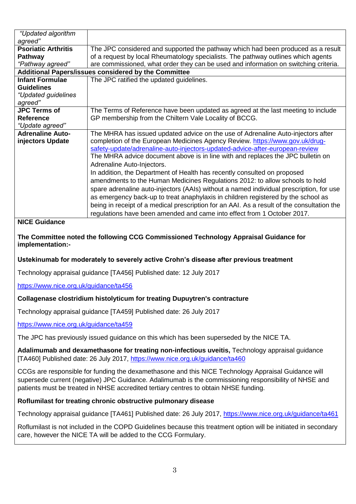| The JPC considered and supported the pathway which had been produced as a result           |  |
|--------------------------------------------------------------------------------------------|--|
| of a request by local Rheumatology specialists. The pathway outlines which agents          |  |
| are commissioned, what order they can be used and information on switching criteria.       |  |
| Additional Papers/issues considered by the Committee                                       |  |
| The JPC ratified the updated guidelines.                                                   |  |
|                                                                                            |  |
|                                                                                            |  |
|                                                                                            |  |
| The Terms of Reference have been updated as agreed at the last meeting to include          |  |
| GP membership from the Chiltern Vale Locality of BCCG.                                     |  |
|                                                                                            |  |
| The MHRA has issued updated advice on the use of Adrenaline Auto-injectors after           |  |
| completion of the European Medicines Agency Review. https://www.gov.uk/drug-               |  |
| safety-update/adrenaline-auto-injectors-updated-advice-after-european-review               |  |
| The MHRA advice document above is in line with and replaces the JPC bulletin on            |  |
| Adrenaline Auto-Injectors.                                                                 |  |
| In addition, the Department of Health has recently consulted on proposed                   |  |
| amendments to the Human Medicines Regulations 2012: to allow schools to hold               |  |
| spare adrenaline auto-injectors (AAIs) without a named individual prescription, for use    |  |
| as emergency back-up to treat anaphylaxis in children registered by the school as          |  |
| being in receipt of a medical prescription for an AAI. As a result of the consultation the |  |
| regulations have been amended and came into effect from 1 October 2017.                    |  |
|                                                                                            |  |

# **NICE Guidance**

## **The Committee noted the following CCG Commissioned Technology Appraisal Guidance for implementation:-**

# **Ustekinumab for moderately to severely active Crohn's disease after previous treatment**

Technology appraisal guidance [TA456] Published date: 12 July 2017

<https://www.nice.org.uk/guidance/ta456>

#### **Collagenase clostridium histolyticum for treating Dupuytren's contracture**

Technology appraisal guidance [TA459] Published date: 26 July 2017

<https://www.nice.org.uk/guidance/ta459>

The JPC has previously issued guidance on this which has been superseded by the NICE TA.

**Adalimumab and dexamethasone for treating non-infectious uveitis,** Technology appraisal guidance [TA460] Published date: 26 July 2017,<https://www.nice.org.uk/guidance/ta460>

CCGs are responsible for funding the dexamethasone and this NICE Technology Appraisal Guidance will supersede current (negative) JPC Guidance. Adalimumab is the commissioning responsibility of NHSE and patients must be treated in NHSE accredited tertiary centres to obtain NHSE funding.

#### **Roflumilast for treating chronic obstructive pulmonary disease**

Technology appraisal guidance [TA461] Published date: 26 July 2017,<https://www.nice.org.uk/guidance/ta461>

Roflumilast is not included in the COPD Guidelines because this treatment option will be initiated in secondary care, however the NICE TA will be added to the CCG Formulary.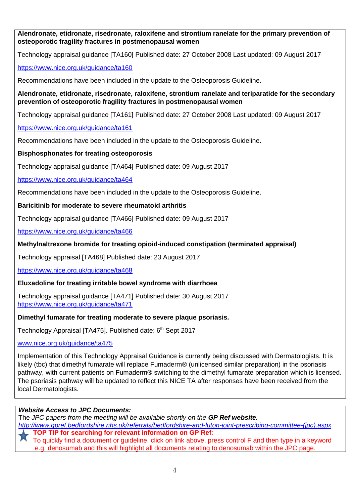**Alendronate, etidronate, risedronate, raloxifene and strontium ranelate for the primary prevention of osteoporotic fragility fractures in postmenopausal women**

Technology appraisal guidance [TA160] Published date: 27 October 2008 Last updated: 09 August 2017

## <https://www.nice.org.uk/guidance/ta160>

Recommendations have been included in the update to the Osteoporosis Guideline.

**Alendronate, etidronate, risedronate, raloxifene, strontium ranelate and teriparatide for the secondary prevention of osteoporotic fragility fractures in postmenopausal women**

Technology appraisal guidance [TA161] Published date: 27 October 2008 Last updated: 09 August 2017

<https://www.nice.org.uk/guidance/ta161>

Recommendations have been included in the update to the Osteoporosis Guideline.

### **Bisphosphonates for treating osteoporosis**

Technology appraisal guidance [TA464] Published date: 09 August 2017

<https://www.nice.org.uk/guidance/ta464>

Recommendations have been included in the update to the Osteoporosis Guideline.

### **Baricitinib for moderate to severe rheumatoid arthritis**

Technology appraisal guidance [TA466] Published date: 09 August 2017

<https://www.nice.org.uk/guidance/ta466>

### **Methylnaltrexone bromide for treating opioid-induced constipation (terminated appraisal)**

Technology appraisal [TA468] Published date: 23 August 2017

<https://www.nice.org.uk/guidance/ta468>

# **Eluxadoline for treating irritable bowel syndrome with diarrhoea**

Technology appraisal guidance [TA471] Published date: 30 August 2017 <https://www.nice.org.uk/guidance/ta471>

#### **Dimethyl fumarate for treating moderate to severe plaque psoriasis.**

Technology Appraisal [TA475]. Published date: 6<sup>th</sup> Sept 2017

[www.nice.org.uk/guidance/ta475](http://www.nice.org.uk/guidance/ta475)

Implementation of this Technology Appraisal Guidance is currently being discussed with Dermatologists. It is likely (tbc) that dimethyl fumarate will replace Fumaderm® (unlicensed similar preparation) in the psoriasis pathway, with current patients on Fumaderm® switching to the dimethyl fumarate preparation which is licensed. The psoriasis pathway will be updated to reflect this NICE TA after responses have been received from the local Dermatologists.

#### *Website Access to JPC Documents:*

The *JPC papers from the meeting will be available shortly on the GP Ref website. [http://www.gpref.bedfordshire.nhs.uk/referrals/bedfordshire-and-luton-joint-prescribing-committee-\(jpc\).aspx](http://www.gpref.bedfordshire.nhs.uk/referrals/bedfordshire-and-luton-joint-prescribing-committee-(jpc).aspx)* **TOP TIP for searching for relevant information on GP Ref**: To quickly find a document or guideline, click on link above, press control F and then type in a keyword e.g. denosumab and this will highlight all documents relating to denosumab within the JPC page.